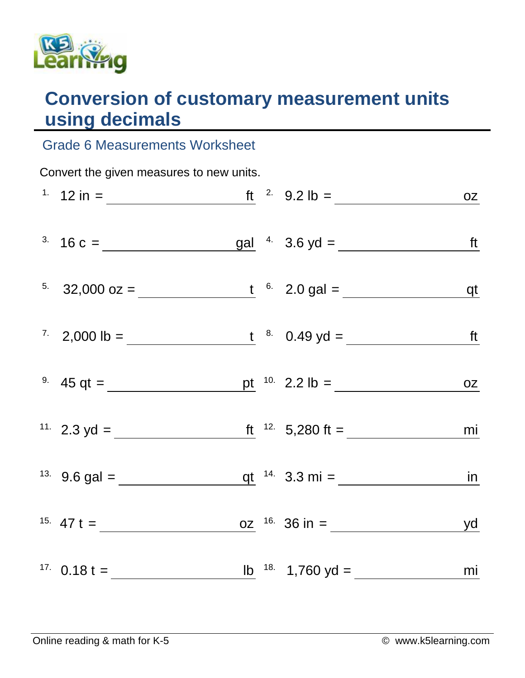

## **Conversion of customary measurement units using decimals**

## Grade 6 Measurements Worksheet

| Convert the given measures to new units. |                                                                                        |  |  |  |  |  |  |  |
|------------------------------------------|----------------------------------------------------------------------------------------|--|--|--|--|--|--|--|
|                                          | <sup>1</sup> 12 in = <u>ft</u> <sup>2</sup> 9.2 lb = <u>oz</u>                         |  |  |  |  |  |  |  |
|                                          |                                                                                        |  |  |  |  |  |  |  |
|                                          | <sup>5</sup> 32,000 oz = $\frac{t}{1}$ <sup>6</sup> 2.0 gal = $\frac{qt}{1}$           |  |  |  |  |  |  |  |
|                                          | <sup>7</sup> 2,000 lb = $\frac{t}{1}$ <sup>8</sup> 0.49 yd = <u>ft</u>                 |  |  |  |  |  |  |  |
|                                          | <sup>9</sup> 45 qt = <u>pt</u> <sup>10</sup> 2.2 lb = <u>pt</u> <sup>10</sup> 2.2 lb = |  |  |  |  |  |  |  |
|                                          | <sup>11.</sup> 2.3 yd = $\frac{f(t^{12.5}-5,280 \text{ ft})}{2.5} = 2.3 \text{ ft}$    |  |  |  |  |  |  |  |
|                                          | <sup>13</sup> 9.6 gal = $q t$ <sup>14</sup> 3.3 mi = <u>in</u>                         |  |  |  |  |  |  |  |
|                                          | <sup>15.</sup> 47 t =                                                                  |  |  |  |  |  |  |  |
|                                          | <sup>17</sup> 0.18 t = $\frac{16}{18}$ 18. 1,760 yd = <u>mi</u>                        |  |  |  |  |  |  |  |